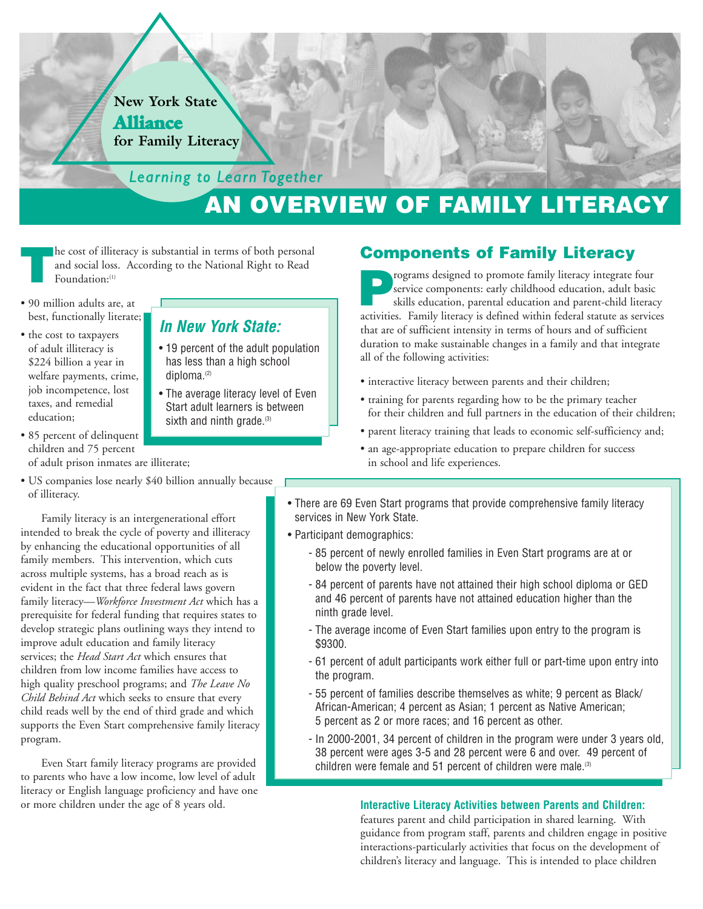#### **New York State Alliance for Family Literacy**

*Learning to Learn Learning to Together*

**In New York State:**

• 19 percent of the adult population has less than a high school

• The average literacy level of Even Start adult learners is between sixth and ninth grade.<sup>(3)</sup>

# **AN OVERVIEW OF FAMILY LITERACY**

**The cost of illiteracy is substantial in terms of both personal and social loss. According to the National Right to Read Foundation:<sup>(1)</sup>** and social loss. According to the National Right to Read Foundation:<sup>(1)</sup>

diploma.(2)

- 90 million adults are, at best, functionally literate;
- the cost to taxpayers of adult illiteracy is \$224 billion a year in welfare payments, crime, job incompetence, lost taxes, and remedial education;
- 85 percent of delinquent children and 75 percent of adult prison inmates are illiterate;
- US companies lose nearly \$40 billion annually because of illiteracy.

Family literacy is an intergenerational effort intended to break the cycle of poverty and illiteracy by enhancing the educational opportunities of all family members. This intervention, which cuts across multiple systems, has a broad reach as is evident in the fact that three federal laws govern family literacy—*Workforce Investment Act* which has a prerequisite for federal funding that requires states to develop strategic plans outlining ways they intend to improve adult education and family literacy services; the *Head Start Act* which ensures that children from low income families have access to high quality preschool programs; and *The Leave No Child Behind Act* which seeks to ensure that every child reads well by the end of third grade and which supports the Even Start comprehensive family literacy program.

Even Start family literacy programs are provided to parents who have a low income, low level of adult literacy or English language proficiency and have one or more children under the age of 8 years old.

#### **Components of Family Literacy**

**Programs designed to promote family literacy integrate four service components: early childhood education, adult basic skills education, parental education and parent-child literacy service consistent in the formula servi** service components: early childhood education, adult basic skills education, parental education and parent-child literacy activities. Family literacy is defined within federal statute as services that are of sufficient intensity in terms of hours and of sufficient duration to make sustainable changes in a family and that integrate all of the following activities:

- interactive literacy between parents and their children;
- training for parents regarding how to be the primary teacher for their children and full partners in the education of their children;
- parent literacy training that leads to economic self-sufficiency and;
- an age-appropriate education to prepare children for success in school and life experiences.
- There are 69 Even Start programs that provide comprehensive family literacy services in New York State.
- Participant demographics:
	- 85 percent of newly enrolled families in Even Start programs are at or below the poverty level.
	- 84 percent of parents have not attained their high school diploma or GED and 46 percent of parents have not attained education higher than the ninth grade level.
	- The average income of Even Start families upon entry to the program is \$9300.
	- 61 percent of adult participants work either full or part-time upon entry into the program.
	- 55 percent of families describe themselves as white; 9 percent as Black/ African-American; 4 percent as Asian; 1 percent as Native American; 5 percent as 2 or more races; and 16 percent as other.
	- In 2000-2001, 34 percent of children in the program were under 3 years old, 38 percent were ages 3-5 and 28 percent were 6 and over. 49 percent of children were female and 51 percent of children were male.<sup>(3)</sup>

#### **Interactive Literacy Activities between Parents and Children:**

features parent and child participation in shared learning. With guidance from program staff, parents and children engage in positive interactions-particularly activities that focus on the development of children's literacy and language. This is intended to place children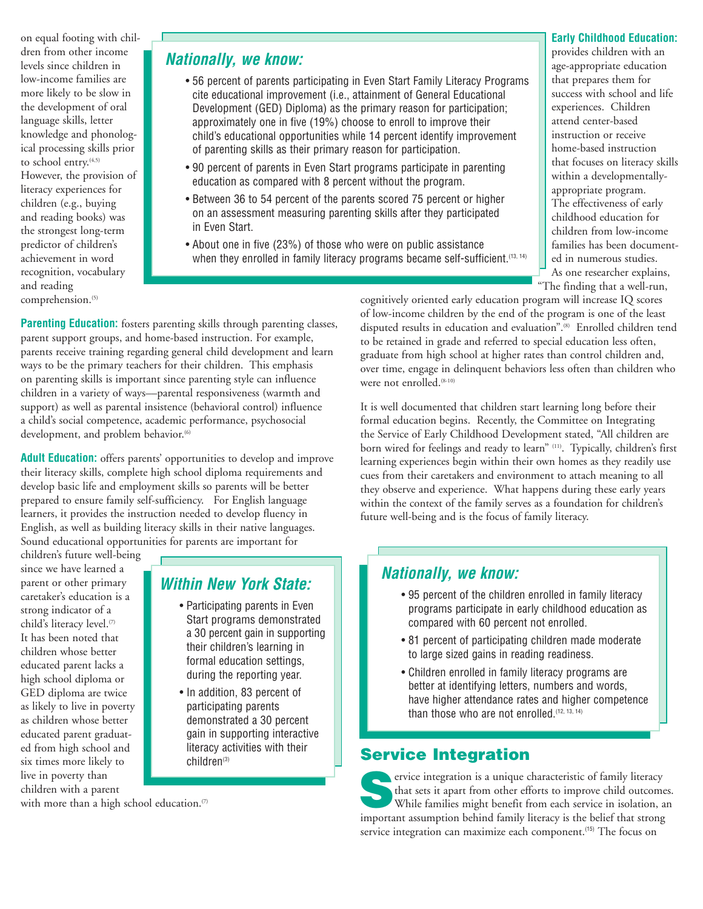on equal footing with children from other income levels since children in low-income families are more likely to be slow in the development of oral language skills, letter knowledge and phonological processing skills prior to school entry.<sup>(4,5)</sup> However, the provision of literacy experiences for children (e.g., buying and reading books) was the strongest long-term predictor of children's achievement in word recognition, vocabulary and reading comprehension.<sup>(5)</sup>

## **Nationally, we know:**

- 56 percent of parents participating in Even Start Family Literacy Programs cite educational improvement (i.e., attainment of General Educational Development (GED) Diploma) as the primary reason for participation; approximately one in five (19%) choose to enroll to improve their child's educational opportunities while 14 percent identify improvement of parenting skills as their primary reason for participation.
- 90 percent of parents in Even Start programs participate in parenting education as compared with 8 percent without the program.
- Between 36 to 54 percent of the parents scored 75 percent or higher on an assessment measuring parenting skills after they participated in Even Start.
- About one in five (23%) of those who were on public assistance when they enrolled in family literacy programs became self-sufficient.<sup>(13, 14)</sup>

#### **Early Childhood Education:**

provides children with an age-appropriate education that prepares them for success with school and life experiences. Children attend center-based instruction or receive home-based instruction that focuses on literacy skills within a developmentallyappropriate program. The effectiveness of early childhood education for children from low-income families has been documented in numerous studies. As one researcher explains, "The finding that a well-run,

cognitively oriented early education program will increase IQ scores of low-income children by the end of the program is one of the least disputed results in education and evaluation".<sup>(8)</sup> Enrolled children tend to be retained in grade and referred to special education less often, graduate from high school at higher rates than control children and, over time, engage in delinquent behaviors less often than children who were not enrolled.<sup>(8-10)</sup>

It is well documented that children start learning long before their formal education begins. Recently, the Committee on Integrating the Service of Early Childhood Development stated, "All children are born wired for feelings and ready to learn" (11). Typically, children's first learning experiences begin within their own homes as they readily use cues from their caretakers and environment to attach meaning to all they observe and experience. What happens during these early years within the context of the family serves as a foundation for children's future well-being and is the focus of family literacy.

## **Nationally, we know:**

- 95 percent of the children enrolled in family literacy programs participate in early childhood education as compared with 60 percent not enrolled.
- 81 percent of participating children made moderate to large sized gains in reading readiness.
- Children enrolled in family literacy programs are better at identifying letters, numbers and words, have higher attendance rates and higher competence than those who are not enrolled.<sup>(12, 13, 14)</sup>

#### **Service Integration**

**Service integration is a unique characteristic of family literacy** that sets it apart from other efforts to improve child outcomes. While families might benefit from each service in isolation, an important assumption behind family literacy is the belief that strong service integration can maximize each component.<sup>(15)</sup> The focus on

**Parenting Education:** fosters parenting skills through parenting classes, parent support groups, and home-based instruction. For example, parents receive training regarding general child development and learn ways to be the primary teachers for their children. This emphasis on parenting skills is important since parenting style can influence children in a variety of ways––parental responsiveness (warmth and support) as well as parental insistence (behavioral control) influence a child's social competence, academic performance, psychosocial development, and problem behavior.<sup>(6)</sup>

**Adult Education:** offers parents' opportunities to develop and improve their literacy skills, complete high school diploma requirements and develop basic life and employment skills so parents will be better prepared to ensure family self-sufficiency. For English language learners, it provides the instruction needed to develop fluency in English, as well as building literacy skills in their native languages. Sound educational opportunities for parents are important for

children's future well-being since we have learned a parent or other primary caretaker's education is a strong indicator of a child's literacy level.<sup>(7)</sup> It has been noted that children whose better educated parent lacks a high school diploma or GED diploma are twice as likely to live in poverty as children whose better educated parent graduated from high school and six times more likely to live in poverty than children with a parent

#### **Within New York State:**

- Participating parents in Even Start programs demonstrated a 30 percent gain in supporting their children's learning in formal education settings, during the reporting year.
- In addition, 83 percent of participating parents demonstrated a 30 percent gain in supporting interactive literacy activities with their children<sup>(3)</sup>

with more than a high school education.<sup>(7)</sup>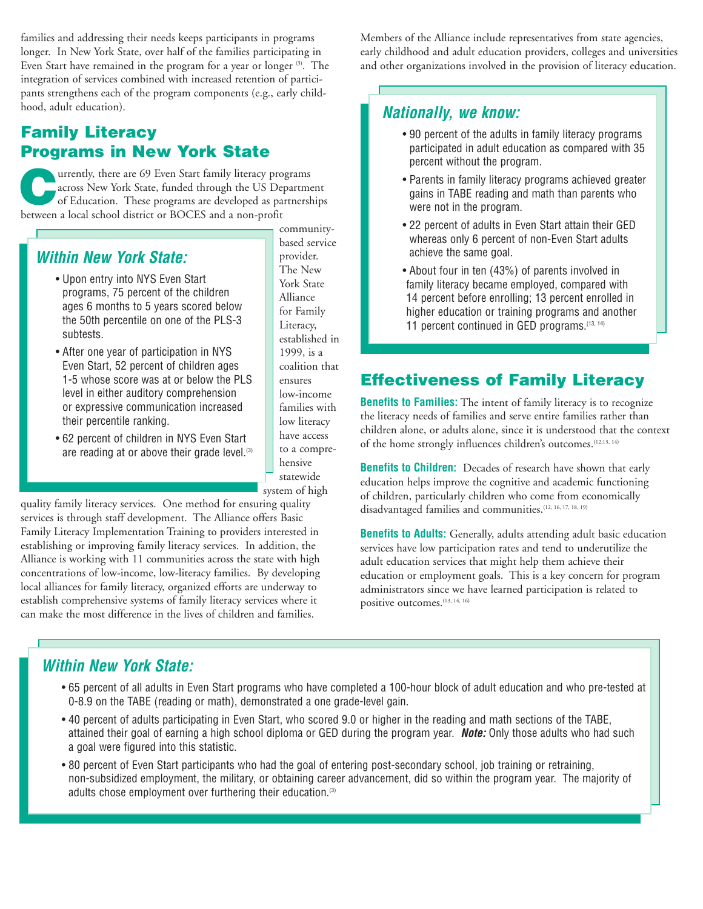families and addressing their needs keeps participants in programs longer. In New York State, over half of the families participating in Even Start have remained in the program for a year or longer <sup>(3)</sup>. The integration of services combined with increased retention of participants strengthens each of the program components (e.g., early childhood, adult education).

# **Family Literacy Programs in New York State**

Urrently, there are 69 Even Start family literacy programs<br>
across New York State, funded through the US Department<br>
of Education. These programs are developed as partnerships<br>
harmon a boal atheal dimin as POCES and a new across New York State, funded through the US Department between a local school district or BOCES and a non-profit

# **Within New York State:**

- Upon entry into NYS Even Start programs, 75 percent of the children ages 6 months to 5 years scored below the 50th percentile on one of the PLS-3 subtests.
- After one year of participation in NYS Even Start, 52 percent of children ages 1-5 whose score was at or below the PLS level in either auditory comprehension or expressive communication increased their percentile ranking.
- 62 percent of children in NYS Even Start are reading at or above their grade level.<sup>(3)</sup>

communitybased service provider. The New York State Alliance for Family Literacy, established in 1999, is a coalition that ensures low-income families with low literacy have access to a comprehensive statewide system of high

quality family literacy services. One method for ensuring quality services is through staff development. The Alliance offers Basic Family Literacy Implementation Training to providers interested in establishing or improving family literacy services. In addition, the Alliance is working with 11 communities across the state with high concentrations of low-income, low-literacy families. By developing local alliances for family literacy, organized efforts are underway to establish comprehensive systems of family literacy services where it can make the most difference in the lives of children and families.

Members of the Alliance include representatives from state agencies, early childhood and adult education providers, colleges and universities and other organizations involved in the provision of literacy education.

## **Nationally, we know:**

- 90 percent of the adults in family literacy programs participated in adult education as compared with 35 percent without the program.
- Parents in family literacy programs achieved greater gains in TABE reading and math than parents who were not in the program.
- 22 percent of adults in Even Start attain their GED whereas only 6 percent of non-Even Start adults achieve the same goal.
- About four in ten (43%) of parents involved in family literacy became employed, compared with 14 percent before enrolling; 13 percent enrolled in higher education or training programs and another 11 percent continued in GED programs. (13, 14)

# **Effectiveness of Family Literacy**

**Benefits to Families:** The intent of family literacy is to recognize the literacy needs of families and serve entire families rather than children alone, or adults alone, since it is understood that the context of the home strongly influences children's outcomes.(12,13, 14)

**Benefits to Children:** Decades of research have shown that early education helps improve the cognitive and academic functioning of children, particularly children who come from economically disadvantaged families and communities.(12, 16, 17, 18, 19)

**Benefits to Adults:** Generally, adults attending adult basic education services have low participation rates and tend to underutilize the adult education services that might help them achieve their education or employment goals. This is a key concern for program administrators since we have learned participation is related to positive outcomes.<sup>(13, 14, 16)</sup>

# **Within New York State:**

- 65 percent of all adults in Even Start programs who have completed a 100-hour block of adult education and who pre-tested at 0-8.9 on the TABE (reading or math), demonstrated a one grade-level gain.
- 40 percent of adults participating in Even Start, who scored 9.0 or higher in the reading and math sections of the TABE, attained their goal of earning a high school diploma or GED during the program year. **Note:** Only those adults who had such a goal were figured into this statistic.
- 80 percent of Even Start participants who had the goal of entering post-secondary school, job training or retraining, non-subsidized employment, the military, or obtaining career advancement, did so within the program year. The majority of adults chose employment over furthering their education.<sup>(3)</sup>